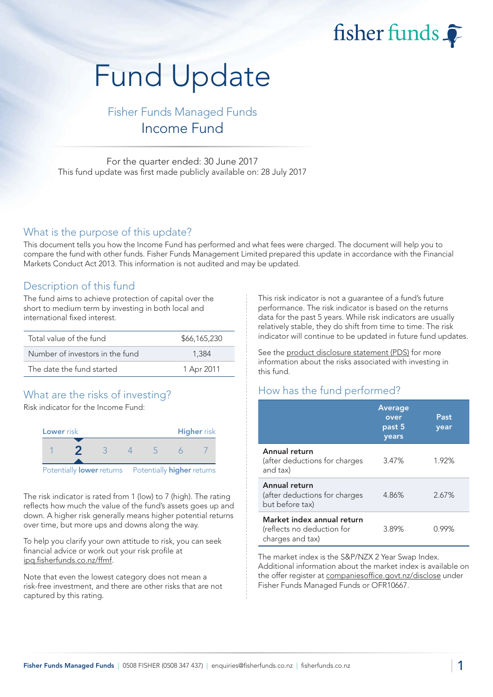fisher funds

# Fund Update

Fisher Funds Managed Funds Income Fund

For the quarter ended: 30 June 2017 This fund update was first made publicly available on: 28 July 2017

#### What is the purpose of this update?

This document tells you how the Income Fund has performed and what fees were charged. The document will help you to compare the fund with other funds. Fisher Funds Management Limited prepared this update in accordance with the Financial Markets Conduct Act 2013. This information is not audited and may be updated.

## Description of this fund

The fund aims to achieve protection of capital over the short to medium term by investing in both local and international fixed interest.

| Total value of the fund         | \$66,165,230 |
|---------------------------------|--------------|
| Number of investors in the fund | 1.384        |
| The date the fund started       | 1 Apr 2011   |

# What are the risks of investing?

Risk indicator for the Income Fund:



The risk indicator is rated from 1 (low) to 7 (high). The rating reflects how much the value of the fund's assets goes up and down. A higher risk generally means higher potential returns over time, but more ups and downs along the way.

To help you clarify your own attitude to risk, you can seek financial advice or work out your risk profile at [ipq.fisherfunds.co.nz/ffmf.](https://ipq.fisherfunds.co.nz/ffmf)

Note that even the lowest category does not mean a risk-free investment, and there are other risks that are not captured by this rating.

This risk indicator is not a guarantee of a fund's future performance. The risk indicator is based on the returns data for the past 5 years. While risk indicators are usually relatively stable, they do shift from time to time. The risk indicator will continue to be updated in future fund updates.

See the [product disclosure statement \(PDS\)](https://fisherfunds.co.nz/assets/PDS/Fisher-Funds-Managed-Funds-PDS.pdf) for more information about the risks associated with investing in this fund.

# How has the fund performed?

|                                                                              | <b>Average</b><br>over<br>past 5<br>years | Past<br>year |
|------------------------------------------------------------------------------|-------------------------------------------|--------------|
| Annual return<br>(after deductions for charges<br>and tax)                   | 3.47%                                     | 1.92%        |
| Annual return<br>(after deductions for charges<br>but before tax)            | 4.86%                                     | 2.67%        |
| Market index annual return<br>(reflects no deduction for<br>charges and tax) | 3.89%                                     | በ 99%        |

The market index is the S&P/NZX 2 Year Swap Index. Additional information about the market index is available on the offer register at [companiesoffice.govt.nz/disclose](http://companiesoffice.govt.nz/disclose) under Fisher Funds Managed Funds or OFR10667.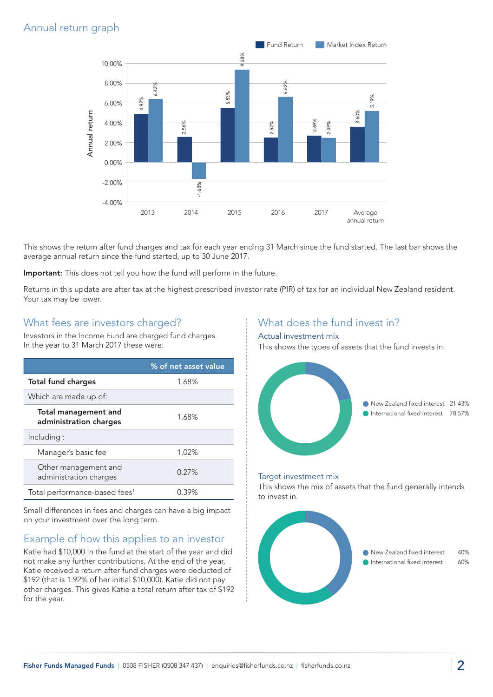# Annual return graph



This shows the return after fund charges and tax for each year ending 31 March since the fund started. The last bar shows the average annual return since the fund started, up to 30 June 2017.

Important: This does not tell you how the fund will perform in the future.

Returns in this update are after tax at the highest prescribed investor rate (PIR) of tax for an individual New Zealand resident. Your tax may be lower.

### What fees are investors charged?

Investors in the Income Fund are charged fund charges. In the year to 31 March 2017 these were:

|                                                       | % of net asset value |
|-------------------------------------------------------|----------------------|
| <b>Total fund charges</b><br>1.68%                    |                      |
| Which are made up of:                                 |                      |
| <b>Total management and</b><br>administration charges | 1.68%                |
| Including:                                            |                      |
| Manager's basic fee                                   | 1.02%                |
| Other management and<br>administration charges        | 0.27%                |
| Total performance-based fees <sup>1</sup>             | 0.39%                |

Small differences in fees and charges can have a big impact on your investment over the long term.

# Example of how this applies to an investor

Katie had \$10,000 in the fund at the start of the year and did not make any further contributions. At the end of the year, Katie received a return after fund charges were deducted of \$192 (that is 1.92% of her initial \$10,000). Katie did not pay other charges. This gives Katie a total return after tax of \$192 for the year.

## What does the fund invest in?

#### Actual investment mix

This shows the types of assets that the fund invests in.



#### Target investment mix

This shows the mix of assets that the fund generally intends to invest in.